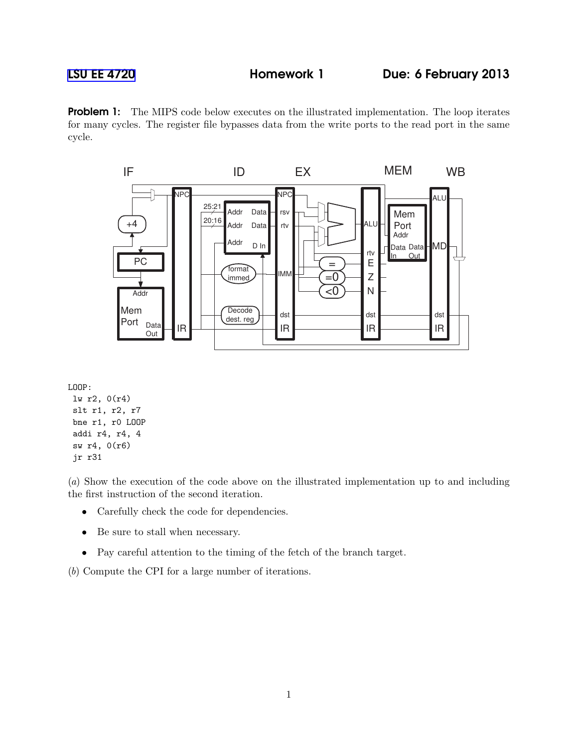## [LSU EE 4720](http://www.ece.lsu.edu/ee4720/) **Homework 1** Due: 6 February 2013

**Problem 1:** The MIPS code below executes on the illustrated implementation. The loop iterates for many cycles. The register file bypasses data from the write ports to the read port in the same cycle.



```
LOOP:
lw r2, 0(r4)
slt r1, r2, r7
bne r1, r0 LOOP
 addi r4, r4, 4
 sw r4, 0(r6)
 jr r31
```
(*a*) Show the execution of the code above on the illustrated implementation up to and including the first instruction of the second iteration.

- Carefully check the code for dependencies.
- Be sure to stall when necessary.
- Pay careful attention to the timing of the fetch of the branch target.
- (*b*) Compute the CPI for a large number of iterations.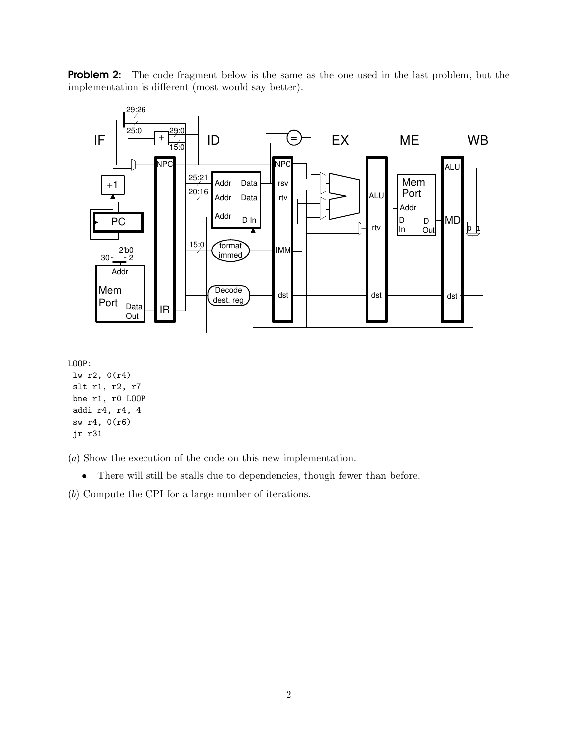**Problem 2:** The code fragment below is the same as the one used in the last problem, but the implementation is different (most would say better).



LOOP:

lw r2, 0(r4) slt r1, r2, r7 bne r1, r0 LOOP addi r4, r4, 4 sw r4, 0(r6) jr r31

(*a*) Show the execution of the code on this new implementation.

• There will still be stalls due to dependencies, though fewer than before.

(*b*) Compute the CPI for a large number of iterations.